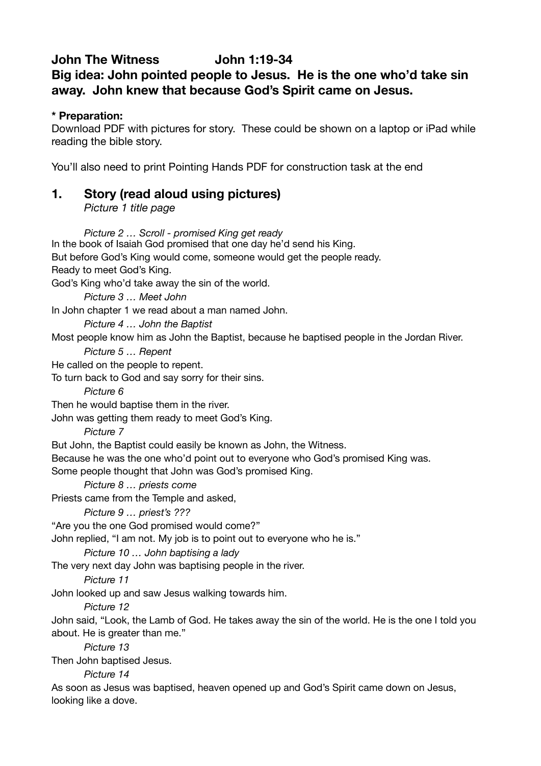## **John The Witness John 1:19-34 Big idea: John pointed people to Jesus. He is the one who'd take sin away. John knew that because God's Spirit came on Jesus.**

### **\* Preparation:**

Download PDF with pictures for story. These could be shown on a laptop or iPad while reading the bible story.

You'll also need to print Pointing Hands PDF for construction task at the end

## **1. Story (read aloud using pictures)**

*Picture 1 title page*

*Picture 2 … Scroll - promised King get ready*  In the book of Isaiah God promised that one day he'd send his King. But before God's King would come, someone would get the people ready. Ready to meet God's King. God's King who'd take away the sin of the world. *Picture 3 … Meet John*  In John chapter 1 we read about a man named John. *Picture 4 … John the Baptist*  Most people know him as John the Baptist, because he baptised people in the Jordan River. *Picture 5 … Repent*  He called on the people to repent. To turn back to God and say sorry for their sins. *Picture 6*  Then he would baptise them in the river. John was getting them ready to meet God's King. *Picture 7*  But John, the Baptist could easily be known as John, the Witness. Because he was the one who'd point out to everyone who God's promised King was. Some people thought that John was God's promised King. *Picture 8 … priests come* Priests came from the Temple and asked, *Picture 9 … priest's ???*  "Are you the one God promised would come?" John replied, "I am not. My job is to point out to everyone who he is." *Picture 10 … John baptising a lady* The very next day John was baptising people in the river. *Picture 11* John looked up and saw Jesus walking towards him. *Picture 12* John said, "Look, the Lamb of God. He takes away the sin of the world. He is the one I told you about. He is greater than me." *Picture 13* Then John baptised Jesus. *Picture 14* As soon as Jesus was baptised, heaven opened up and God's Spirit came down on Jesus, looking like a dove.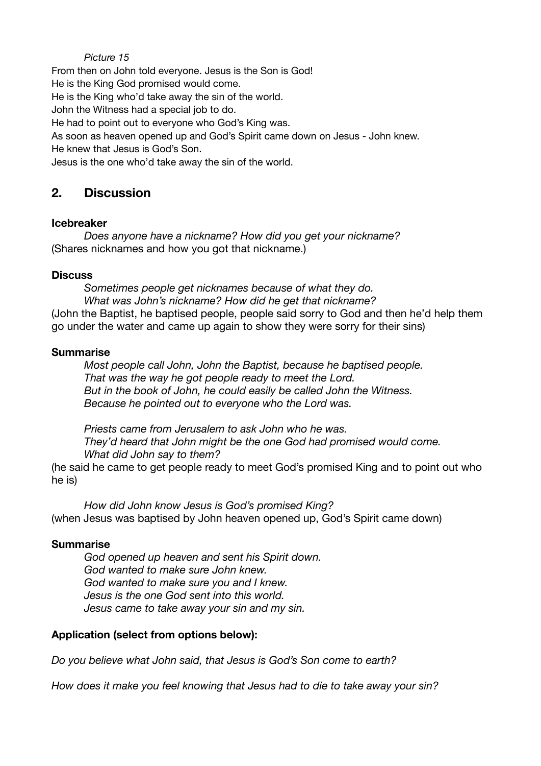#### *Picture 15*

From then on John told everyone. Jesus is the Son is God! He is the King God promised would come. He is the King who'd take away the sin of the world. John the Witness had a special job to do. He had to point out to everyone who God's King was. As soon as heaven opened up and God's Spirit came down on Jesus - John knew.

He knew that Jesus is God's Son.

Jesus is the one who'd take away the sin of the world.

## **2. Discussion**

#### **Icebreaker**

*Does anyone have a nickname? How did you get your nickname?*  (Shares nicknames and how you got that nickname.)

#### **Discuss**

*Sometimes people get nicknames because of what they do. What was John's nickname? How did he get that nickname?* (John the Baptist, he baptised people, people said sorry to God and then he'd help them go under the water and came up again to show they were sorry for their sins)

#### **Summarise**

*Most people call John, John the Baptist, because he baptised people. That was the way he got people ready to meet the Lord. But in the book of John, he could easily be called John the Witness. Because he pointed out to everyone who the Lord was.* 

*Priests came from Jerusalem to ask John who he was. They'd heard that John might be the one God had promised would come. What did John say to them?* 

(he said he came to get people ready to meet God's promised King and to point out who he is)

*How did John know Jesus is God's promised King?*  (when Jesus was baptised by John heaven opened up, God's Spirit came down)

#### **Summarise**

*God opened up heaven and sent his Spirit down. God wanted to make sure John knew. God wanted to make sure you and I knew. Jesus is the one God sent into this world. Jesus came to take away your sin and my sin.* 

### **Application (select from options below):**

*Do you believe what John said, that Jesus is God's Son come to earth?* 

*How does it make you feel knowing that Jesus had to die to take away your sin?*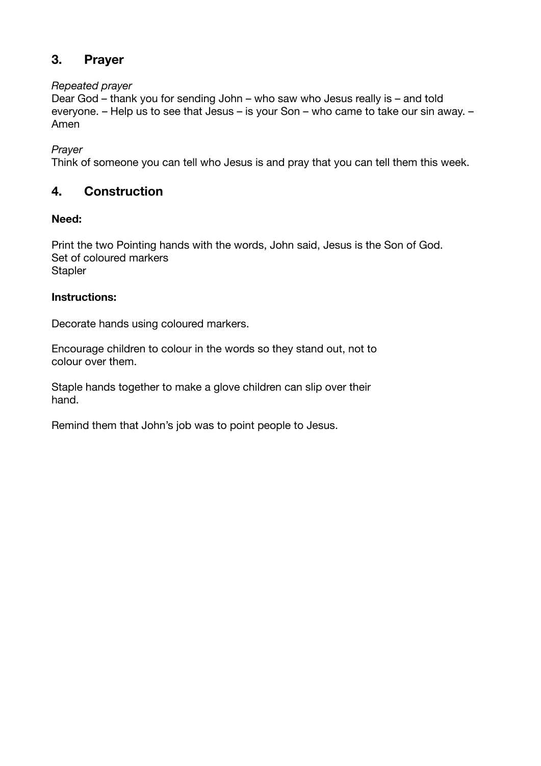# **3. Prayer**

#### *Repeated prayer*

Dear God – thank you for sending John – who saw who Jesus really is – and told everyone. – Help us to see that Jesus – is your Son – who came to take our sin away. – Amen

*Prayer* 

Think of someone you can tell who Jesus is and pray that you can tell them this week.

# **4. Construction**

## **Need:**

Print the two Pointing hands with the words, John said, Jesus is the Son of God. Set of coloured markers **Stapler** 

## **Instructions:**

Decorate hands using coloured markers.

Encourage children to colour in the words so they stand out, not to colour over them.

Staple hands together to make a glove children can slip over their hand.

Remind them that John's job was to point people to Jesus.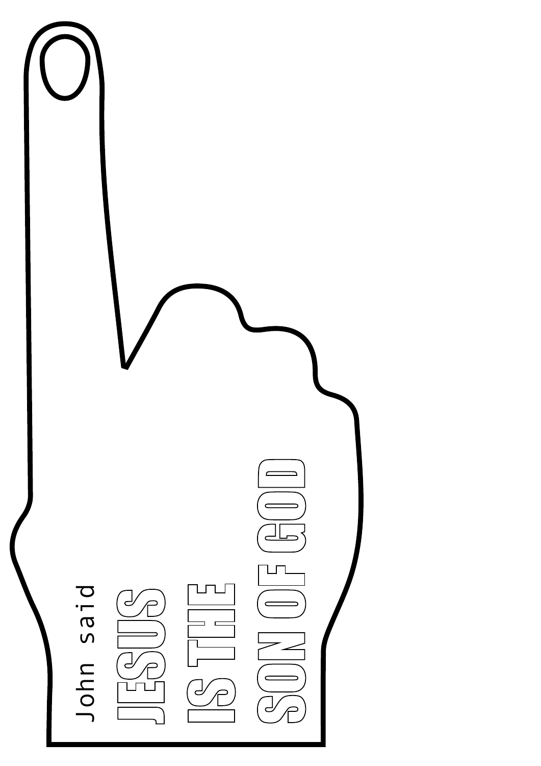